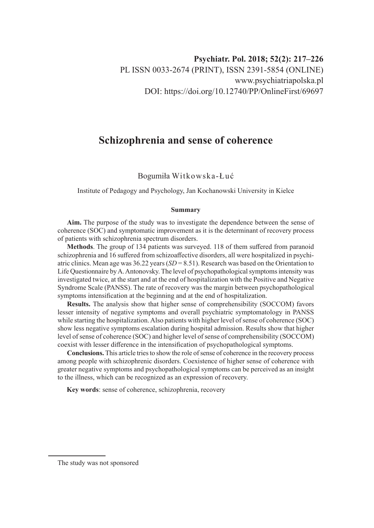# **Schizophrenia and sense of coherence**

## Bogumiła Witkowska-Łuć

Institute of Pedagogy and Psychology, Jan Kochanowski University in Kielce

#### **Summary**

**Aim.** The purpose of the study was to investigate the dependence between the sense of coherence (SOC) and symptomatic improvement as it is the determinant of recovery process of patients with schizophrenia spectrum disorders.

**Methods**. The group of 134 patients was surveyed. 118 of them suffered from paranoid schizophrenia and 16 suffered from schizoaffective disorders, all were hospitalized in psychiatric clinics. Mean age was 36.22 years (*SD* = 8.51). Research was based on the Orientation to Life Questionnaire by A. Antonovsky. The level of psychopathological symptoms intensity was investigated twice, at the start and at the end of hospitalization with the Positive and Negative Syndrome Scale (PANSS). The rate of recovery was the margin between psychopathological symptoms intensification at the beginning and at the end of hospitalization.

**Results.** The analysis show that higher sense of comprehensibility (SOCCOM) favors lesser intensity of negative symptoms and overall psychiatric symptomatology in PANSS while starting the hospitalization. Also patients with higher level of sense of coherence (SOC) show less negative symptoms escalation during hospital admission. Results show that higher level of sense of coherence (SOC) and higher level of sense of comprehensibility (SOCCOM) coexist with lesser difference in the intensification of psychopathological symptoms.

**Conclusions.** This article tries to show the role of sense of coherence in the recovery process among people with schizophrenic disorders. Coexistence of higher sense of coherence with greater negative symptoms and psychopathological symptoms can be perceived as an insight to the illness, which can be recognized as an expression of recovery.

**Key words**: sense of coherence, schizophrenia, recovery

The study was not sponsored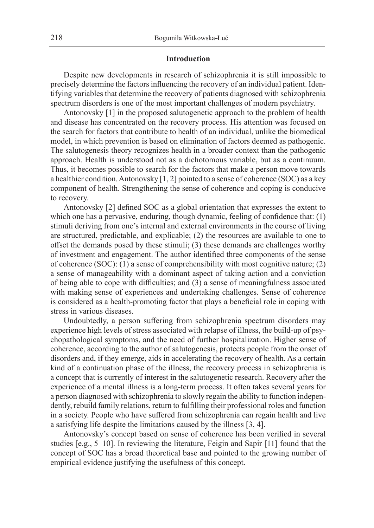## **Introduction**

Despite new developments in research of schizophrenia it is still impossible to precisely determine the factors influencing the recovery of an individual patient. Identifying variables that determine the recovery of patients diagnosed with schizophrenia spectrum disorders is one of the most important challenges of modern psychiatry.

Antonovsky [1] in the proposed salutogenetic approach to the problem of health and disease has concentrated on the recovery process. His attention was focused on the search for factors that contribute to health of an individual, unlike the biomedical model, in which prevention is based on elimination of factors deemed as pathogenic. The salutogenesis theory recognizes health in a broader context than the pathogenic approach. Health is understood not as a dichotomous variable, but as a continuum. Thus, it becomes possible to search for the factors that make a person move towards a healthier condition. Antonovsky [1, 2] pointed to a sense of coherence (SOC) as a key component of health. Strengthening the sense of coherence and coping is conducive to recovery.

Antonovsky [2] defined SOC as a global orientation that expresses the extent to which one has a pervasive, enduring, though dynamic, feeling of confidence that: (1) stimuli deriving from one's internal and external environments in the course of living are structured, predictable, and explicable; (2) the resources are available to one to offset the demands posed by these stimuli; (3) these demands are challenges worthy of investment and engagement. The author identified three components of the sense of coherence (SOC): (1) a sense of comprehensibility with most cognitive nature; (2) a sense of manageability with a dominant aspect of taking action and a conviction of being able to cope with difficulties; and (3) a sense of meaningfulness associated with making sense of experiences and undertaking challenges. Sense of coherence is considered as a health-promoting factor that plays a beneficial role in coping with stress in various diseases.

Undoubtedly, a person suffering from schizophrenia spectrum disorders may experience high levels of stress associated with relapse of illness, the build-up of psychopathological symptoms, and the need of further hospitalization. Higher sense of coherence, according to the author of salutogenesis, protects people from the onset of disorders and, if they emerge, aids in accelerating the recovery of health. As a certain kind of a continuation phase of the illness, the recovery process in schizophrenia is a concept that is currently of interest in the salutogenetic research. Recovery after the experience of a mental illness is a long-term process. It often takes several years for a person diagnosed with schizophrenia to slowly regain the ability to function independently, rebuild family relations, return to fulfilling their professional roles and function in a society. People who have suffered from schizophrenia can regain health and live a satisfying life despite the limitations caused by the illness [3, 4].

Antonovsky's concept based on sense of coherence has been verified in several studies [e.g., 5–10]. In reviewing the literature, Feigin and Sapir [11] found that the concept of SOC has a broad theoretical base and pointed to the growing number of empirical evidence justifying the usefulness of this concept.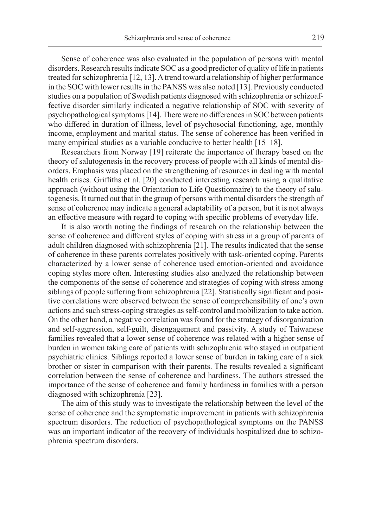Sense of coherence was also evaluated in the population of persons with mental disorders. Research results indicate SOC as a good predictor of quality of life in patients treated for schizophrenia [12, 13]. A trend toward a relationship of higher performance in the SOC with lower results in the PANSS was also noted [13]. Previously conducted studies on a population of Swedish patients diagnosed with schizophrenia or schizoaffective disorder similarly indicated a negative relationship of SOC with severity of psychopathological symptoms [14]. There were no differences in SOC between patients who differed in duration of illness, level of psychosocial functioning, age, monthly income, employment and marital status. The sense of coherence has been verified in many empirical studies as a variable conducive to better health [15–18].

Researchers from Norway [19] reiterate the importance of therapy based on the theory of salutogenesis in the recovery process of people with all kinds of mental disorders. Emphasis was placed on the strengthening of resources in dealing with mental health crises. Griffiths et al. [20] conducted interesting research using a qualitative approach (without using the Orientation to Life Questionnaire) to the theory of salutogenesis. It turned out that in the group of persons with mental disorders the strength of sense of coherence may indicate a general adaptability of a person, but it is not always an effective measure with regard to coping with specific problems of everyday life.

It is also worth noting the findings of research on the relationship between the sense of coherence and different styles of coping with stress in a group of parents of adult children diagnosed with schizophrenia [21]. The results indicated that the sense of coherence in these parents correlates positively with task-oriented coping. Parents characterized by a lower sense of coherence used emotion-oriented and avoidance coping styles more often. Interesting studies also analyzed the relationship between the components of the sense of coherence and strategies of coping with stress among siblings of people suffering from schizophrenia [22]. Statistically significant and positive correlations were observed between the sense of comprehensibility of one's own actions and such stress-coping strategies as self-control and mobilization to take action. On the other hand, a negative correlation was found for the strategy of disorganization and self-aggression, self-guilt, disengagement and passivity. A study of Taiwanese families revealed that a lower sense of coherence was related with a higher sense of burden in women taking care of patients with schizophrenia who stayed in outpatient psychiatric clinics. Siblings reported a lower sense of burden in taking care of a sick brother or sister in comparison with their parents. The results revealed a significant correlation between the sense of coherence and hardiness. The authors stressed the importance of the sense of coherence and family hardiness in families with a person diagnosed with schizophrenia [23].

The aim of this study was to investigate the relationship between the level of the sense of coherence and the symptomatic improvement in patients with schizophrenia spectrum disorders. The reduction of psychopathological symptoms on the PANSS was an important indicator of the recovery of individuals hospitalized due to schizophrenia spectrum disorders.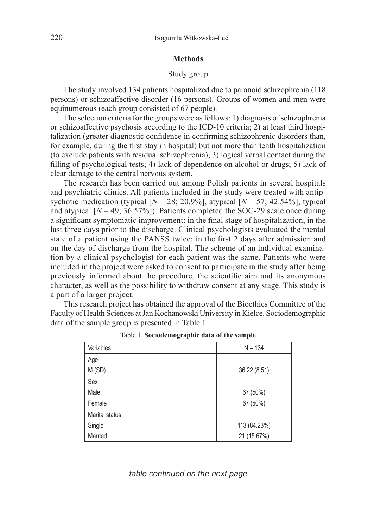### **Methods**

## Study group

The study involved 134 patients hospitalized due to paranoid schizophrenia (118 persons) or schizoaffective disorder (16 persons). Groups of women and men were equinumerous (each group consisted of 67 people).

The selection criteria for the groups were as follows: 1) diagnosis of schizophrenia or schizoaffective psychosis according to the ICD-10 criteria; 2) at least third hospitalization (greater diagnostic confidence in confirming schizophrenic disorders than, for example, during the first stay in hospital) but not more than tenth hospitalization (to exclude patients with residual schizophrenia); 3) logical verbal contact during the filling of psychological tests; 4) lack of dependence on alcohol or drugs; 5) lack of clear damage to the central nervous system.

The research has been carried out among Polish patients in several hospitals and psychiatric clinics. All patients included in the study were treated with antipsychotic medication (typical  $[N = 28; 20.9\%]$ , atypical  $[N = 57; 42.54\%]$ , typical and atypical  $[N = 49; 36.57\%]$ ). Patients completed the SOC-29 scale once during a significant symptomatic improvement: in the final stage of hospitalization, in the last three days prior to the discharge. Clinical psychologists evaluated the mental state of a patient using the PANSS twice: in the first 2 days after admission and on the day of discharge from the hospital. The scheme of an individual examination by a clinical psychologist for each patient was the same. Patients who were included in the project were asked to consent to participate in the study after being previously informed about the procedure, the scientific aim and its anonymous character, as well as the possibility to withdraw consent at any stage. This study is a part of a larger project.

This research project has obtained the approval of the Bioethics Committee of the Faculty of Health Sciences at Jan Kochanowski University in Kielce. Sociodemographic data of the sample group is presented in Table 1.

| Variables      | $N = 134$    |
|----------------|--------------|
| Age            |              |
| M (SD)         | 36.22 (8.51) |
| Sex            |              |
| Male           | 67 (50%)     |
| Female         | 67 (50%)     |
| Marital status |              |
| Single         | 113 (84.23%) |
| Married        | 21 (15.67%)  |

Table 1. **Sociodemographic data of the sample**

*table continued on the next page*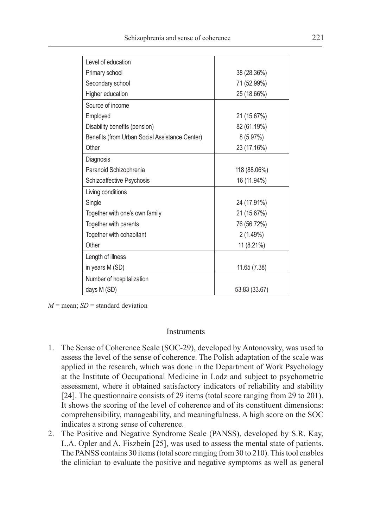| Level of education                             |               |
|------------------------------------------------|---------------|
| Primary school                                 | 38 (28.36%)   |
| Secondary school                               | 71 (52.99%)   |
| Higher education                               | 25 (18.66%)   |
| Source of income                               |               |
| Employed                                       | 21 (15.67%)   |
| Disability benefits (pension)                  | 82 (61.19%)   |
| Benefits (from Urban Social Assistance Center) | 8(5.97%)      |
| Other                                          | 23 (17.16%)   |
| Diagnosis                                      |               |
| Paranoid Schizophrenia                         | 118 (88.06%)  |
| Schizoaffective Psychosis                      | 16 (11.94%)   |
| Living conditions                              |               |
| Single                                         | 24 (17.91%)   |
| Together with one's own family                 | 21 (15.67%)   |
| Together with parents                          | 76 (56.72%)   |
| Together with cohabitant                       | 2(1.49%)      |
| Other                                          | 11 (8.21%)    |
| Length of illness                              |               |
| in years M (SD)                                | 11.65 (7.38)  |
| Number of hospitalization                      |               |
| days M (SD)                                    | 53.83 (33.67) |

 $M$  = mean;  $SD$  = standard deviation

## Instruments

- 1. The Sense of Coherence Scale (SOC-29), developed by Antonovsky, was used to assess the level of the sense of coherence. The Polish adaptation of the scale was applied in the research, which was done in the Department of Work Psychology at the Institute of Occupational Medicine in Lodz and subject to psychometric assessment, where it obtained satisfactory indicators of reliability and stability [24]. The questionnaire consists of 29 items (total score ranging from 29 to 201). It shows the scoring of the level of coherence and of its constituent dimensions: comprehensibility, manageability, and meaningfulness. A high score on the SOC indicates a strong sense of coherence.
- 2. The Positive and Negative Syndrome Scale (PANSS), developed by S.R. Kay, L.A. Opler and A. Fiszbein [25], was used to assess the mental state of patients. The PANSS contains 30 items (total score ranging from 30 to 210). This tool enables the clinician to evaluate the positive and negative symptoms as well as general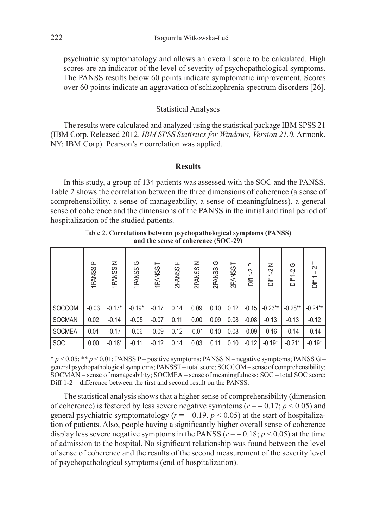psychiatric symptomatology and allows an overall score to be calculated. High scores are an indicator of the level of severity of psychopathological symptoms. The PANSS results below 60 points indicate symptomatic improvement. Scores over 60 points indicate an aggravation of schizophrenia spectrum disorders [26].

#### Statistical Analyses

The results were calculated and analyzed using the statistical package IBM SPSS 21 (IBM Corp. Released 2012. *IBM SPSS Statistics for Windows, Version 21.0.* Armonk, NY: IBM Corp). Pearson's *r* correlation was applied.

### **Results**

In this study, a group of 134 patients was assessed with the SOC and the PANSS. Table 2 shows the correlation between the three dimensions of coherence (a sense of comprehensibility, a sense of manageability, a sense of meaningfulness), a general sense of coherence and the dimensions of the PANSS in the initial and final period of hospitalization of the studied patients.

|               | $\Omega$<br>1PANSS | z<br>1PANSS | ৩<br>1PANSS | ⊢<br>1PANSS | ௳<br>2PANSS | z<br>2PANSS | ↺<br>2PANSS | ⊢<br>2PANSS | ௨<br>$\overline{c}$<br>ă₹ | z<br>5-<br>洁 | ৩<br>Diff 1-2 | $\vdash$<br>$\sim$<br>Diff 1 |
|---------------|--------------------|-------------|-------------|-------------|-------------|-------------|-------------|-------------|---------------------------|--------------|---------------|------------------------------|
| <b>SOCCOM</b> | $-0.03$            | $-0.17*$    | $-0.19*$    | $-0.17$     | 0.14        | 0.09        | 0.10        | 0.12        | $-0.15$                   | $-0.23**$    | $-0.28**$     | $-0.24***$                   |
| <b>SOCMAN</b> | 0.02               | $-0.14$     | $-0.05$     | $-0.07$     | 0.11        | 0.00        | 0.09        | 0.08        | $-0.08$                   | $-0.13$      | $-0.13$       | $-0.12$                      |
| <b>SOCMEA</b> | 0.01               | $-0.17$     | $-0.06$     | $-0.09$     | 0.12        | $-0.01$     | 0.10        | 0.08        | $-0.09$                   | $-0.16$      | $-0.14$       | $-0.14$                      |
| <b>SOC</b>    | 0.00               | $-0.18*$    | $-0.11$     | $-0.12$     | 0.14        | 0.03        | 0.11        | 0.10        | $-0.12$                   | $-0.19*$     | $-0.21*$      | $-0.19*$                     |

Table 2. **Correlations between psychopathological symptoms (PANSS) and the sense of coherence (SOC-29)**

\* *p* < 0.05; \*\* *p* < 0.01; PANSS P – positive symptoms; PANSS N – negative symptoms; PANSS G – general psychopathological symptoms; PANSST – total score; SOCCOM – sense of comprehensibility; SOCMAN – sense of manageability; SOCMEA – sense of meaningfulness; SOC – total SOC score; Diff 1-2 – difference between the first and second result on the PANSS.

The statistical analysis shows that a higher sense of comprehensibility (dimension of coherence) is fostered by less severe negative symptoms ( $r = -0.17$ ;  $p < 0.05$ ) and general psychiatric symptomatology ( $r = -0.19$ ,  $p < 0.05$ ) at the start of hospitalization of patients. Also, people having a significantly higher overall sense of coherence display less severe negative symptoms in the PANSS ( $r = -0.18$ ;  $p \le 0.05$ ) at the time of admission to the hospital. No significant relationship was found between the level of sense of coherence and the results of the second measurement of the severity level of psychopathological symptoms (end of hospitalization).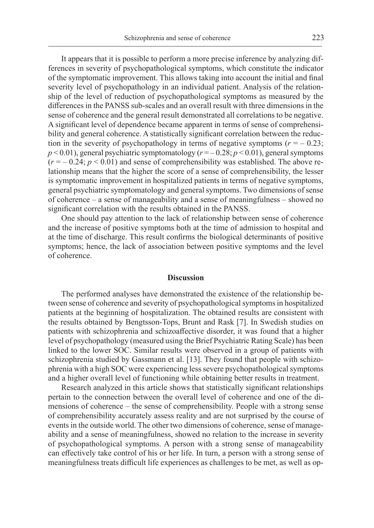It appears that it is possible to perform a more precise inference by analyzing differences in severity of psychopathological symptoms, which constitute the indicator of the symptomatic improvement. This allows taking into account the initial and final severity level of psychopathology in an individual patient. Analysis of the relationship of the level of reduction of psychopathological symptoms as measured by the differences in the PANSS sub-scales and an overall result with three dimensions in the sense of coherence and the general result demonstrated all correlations to be negative. A significant level of dependence became apparent in terms of sense of comprehensibility and general coherence. A statistically significant correlation between the reduction in the severity of psychopathology in terms of negative symptoms  $(r = -0.23;$  $p$  < 0.01), general psychiatric symptomatology ( $r = -0.28$ ;  $p$  < 0.01), general symptoms  $(r = -0.24; p < 0.01)$  and sense of comprehensibility was established. The above relationship means that the higher the score of a sense of comprehensibility, the lesser is symptomatic improvement in hospitalized patients in terms of negative symptoms, general psychiatric symptomatology and general symptoms. Two dimensions of sense of coherence – a sense of manageability and a sense of meaningfulness – showed no significant correlation with the results obtained in the PANSS.

One should pay attention to the lack of relationship between sense of coherence and the increase of positive symptoms both at the time of admission to hospital and at the time of discharge. This result confirms the biological determinants of positive symptoms; hence, the lack of association between positive symptoms and the level of coherence.

#### **Discussion**

The performed analyses have demonstrated the existence of the relationship between sense of coherence and severity of psychopathological symptoms in hospitalized patients at the beginning of hospitalization. The obtained results are consistent with the results obtained by Bengtsson-Tops, Brunt and Rask [7]. In Swedish studies on patients with schizophrenia and schizoaffective disorder, it was found that a higher level of psychopathology (measured using the Brief Psychiatric Rating Scale) has been linked to the lower SOC. Similar results were observed in a group of patients with schizophrenia studied by Gassmann et al. [13]. They found that people with schizophrenia with a high SOC were experiencing less severe psychopathological symptoms and a higher overall level of functioning while obtaining better results in treatment.

Research analyzed in this article shows that statistically significant relationships pertain to the connection between the overall level of coherence and one of the dimensions of coherence – the sense of comprehensibility. People with a strong sense of comprehensibility accurately assess reality and are not surprised by the course of events in the outside world. The other two dimensions of coherence, sense of manageability and a sense of meaningfulness, showed no relation to the increase in severity of psychopathological symptoms. A person with a strong sense of manageability can effectively take control of his or her life. In turn, a person with a strong sense of meaningfulness treats difficult life experiences as challenges to be met, as well as op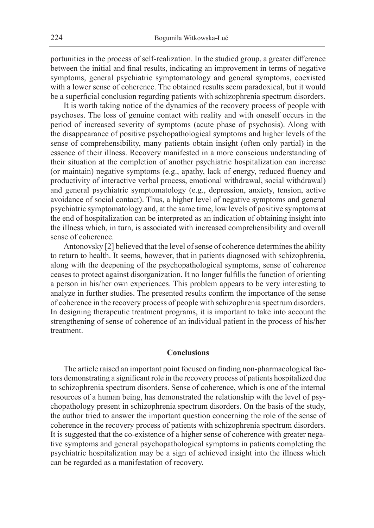portunities in the process of self-realization. In the studied group, a greater difference between the initial and final results, indicating an improvement in terms of negative symptoms, general psychiatric symptomatology and general symptoms, coexisted with a lower sense of coherence. The obtained results seem paradoxical, but it would be a superficial conclusion regarding patients with schizophrenia spectrum disorders.

It is worth taking notice of the dynamics of the recovery process of people with psychoses. The loss of genuine contact with reality and with oneself occurs in the period of increased severity of symptoms (acute phase of psychosis). Along with the disappearance of positive psychopathological symptoms and higher levels of the sense of comprehensibility, many patients obtain insight (often only partial) in the essence of their illness. Recovery manifested in a more conscious understanding of their situation at the completion of another psychiatric hospitalization can increase (or maintain) negative symptoms (e.g., apathy, lack of energy, reduced fluency and productivity of interactive verbal process, emotional withdrawal, social withdrawal) and general psychiatric symptomatology (e.g., depression, anxiety, tension, active avoidance of social contact). Thus, a higher level of negative symptoms and general psychiatric symptomatology and, at the same time, low levels of positive symptoms at the end of hospitalization can be interpreted as an indication of obtaining insight into the illness which, in turn, is associated with increased comprehensibility and overall sense of coherence.

Antonovsky [2] believed that the level of sense of coherence determines the ability to return to health. It seems, however, that in patients diagnosed with schizophrenia, along with the deepening of the psychopathological symptoms, sense of coherence ceases to protect against disorganization. It no longer fulfills the function of orienting a person in his/her own experiences. This problem appears to be very interesting to analyze in further studies. The presented results confirm the importance of the sense of coherence in the recovery process of people with schizophrenia spectrum disorders. In designing therapeutic treatment programs, it is important to take into account the strengthening of sense of coherence of an individual patient in the process of his/her treatment.

# **Conclusions**

The article raised an important point focused on finding non-pharmacological factors demonstrating a significant role in the recovery process of patients hospitalized due to schizophrenia spectrum disorders. Sense of coherence, which is one of the internal resources of a human being, has demonstrated the relationship with the level of psychopathology present in schizophrenia spectrum disorders. On the basis of the study, the author tried to answer the important question concerning the role of the sense of coherence in the recovery process of patients with schizophrenia spectrum disorders. It is suggested that the co-existence of a higher sense of coherence with greater negative symptoms and general psychopathological symptoms in patients completing the psychiatric hospitalization may be a sign of achieved insight into the illness which can be regarded as a manifestation of recovery.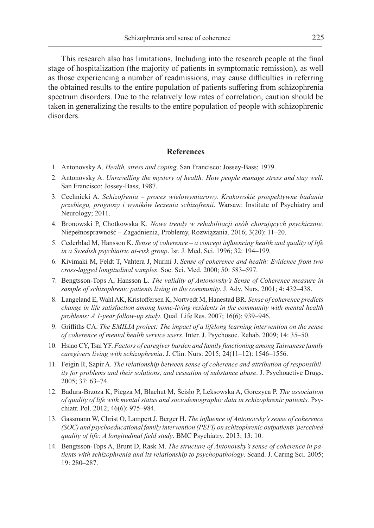This research also has limitations. Including into the research people at the final stage of hospitalization (the majority of patients in symptomatic remission), as well as those experiencing a number of readmissions, may cause difficulties in referring the obtained results to the entire population of patients suffering from schizophrenia spectrum disorders. Due to the relatively low rates of correlation, caution should be taken in generalizing the results to the entire population of people with schizophrenic disorders.

## **References**

- 1. Antonovsky A. *Health, stress and coping*. San Francisco: Jossey-Bass; 1979.
- 2. Antonovsky A. *Unravelling the mystery of health: How people manage stress and stay well*. San Francisco: Jossey-Bass; 1987.
- 3. Cechnicki A. *Schizofrenia proces wielowymiarowy. Krakowskie prospektywne badania przebiegu, prognozy i wyników leczenia schizofrenii.* Warsaw: Institute of Psychiatry and Neurology; 2011.
- 4. Bronowski P, Chotkowska K. *Nowe trendy w rehabilitacji osób chorujących psychicznie.*  Niepełnosprawność – Zagadnienia, Problemy, Rozwiązania. 2016; 3(20): 11–20.
- 5. Cederblad M, Hansson K. *Sense of coherence a concept influencing health and quality of life in a Swedish psychiatric at-risk group*. Isr. J. Med. Sci. 1996; 32: 194–199.
- 6. Kivimaki M, Feldt T, Vahtera J, Nurmi J. *Sense of coherence and health: Evidence from two cross-lagged longitudinal samples*. Soc. Sci. Med. 2000; 50: 583–597.
- 7. Bengtsson-Tops A, Hansson L. *The validity of Antonovsky's Sense of Coherence measure in sample of schizophrenic patients living in the community*. J. Adv. Nurs. 2001; 4: 432–438.
- 8. Langeland E, Wahl AK, Kristoffersen K, Nortvedt M, Hanestad BR. *Sense of coherence predicts change in life satisfaction among home-living residents in the community with mental health problems: A 1-year follow-up study*. Qual. Life Res. 2007; 16(6): 939–946.
- 9. Griffiths CA. *The EMILIA project: The impact of a lifelong learning intervention on the sense of coherence of mental health service users*. Inter. J. Psychosoc. Rehab. 2009; 14: 35–50.
- 10. Hsiao CY, Tsai YF. *Factors of caregiver burden and family functioning among Taiwanese family caregivers living with schizophrenia*. J. Clin. Nurs. 2015; 24(11–12): 1546–1556.
- 11. Feigin R, Sapir A. *The relationship between sense of coherence and attribution of responsibility for problems and their solutions, and cessation of substance abuse*. J. Psychoactive Drugs. 2005; 37: 63–74.
- 12. Badura-Brzoza K, Piegza M, Błachut M, Ścisło P, Leksowska A, Gorczyca P. *The association of quality of life with mental status and sociodemographic data in schizophrenic patients.* Psychiatr. Pol. 2012; 46(6): 975–984.
- 13. Gassmann W, Christ O, Lampert J, Berger H. *The influence of Antonovsky's sense of coherence (SOC) and psychoeducational family intervention (PEFI) on schizophrenic outpatients' perceived quality of life: A longitudinal field study*. BMC Psychiatry. 2013; 13: 10.
- 14. Bengtsson-Tops A, Brunt D, Rask M. *The structure of Antonovsky's sense of coherence in patients with schizophrenia and its relationship to psychopathology*. Scand. J. Caring Sci. 2005; 19: 280–287.